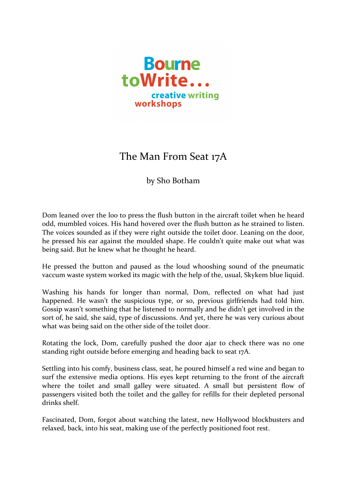

## The Man From Seat 17A

by Sho Botham

Dom leaned over the loo to press the flush button in the aircraft toilet when he heard odd, mumbled voices. His hand hovered over the flush button as he strained to listen. The voices sounded as if they were right outside the toilet door. Leaning on the door, he pressed his ear against the moulded shape. He couldn't quite make out what was being said. But he knew what he thought he heard.

He pressed the button and paused as the loud whooshing sound of the pneumatic vaccum waste system worked its magic with the help of the, usual, Skykem blue liquid.

Washing his hands for longer than normal, Dom, reflected on what had just happened. He wasn't the suspicious type, or so, previous girlfriends had told him. Gossip wasn't something that he listened to normally and he didn't get involved in the sort of, he said, she said, type of discussions. And yet, there he was very curious about what was being said on the other side of the toilet door.

Rotating the lock, Dom, carefully pushed the door ajar to check there was no one standing right outside before emerging and heading back to seat 17A.

Settling into his comfy, business class, seat, he poured himself a red wine and began to surf the extensive media options. His eyes kept returning to the front of the aircraft where the toilet and small galley were situated. A small but persistent flow of passengers visited both the toilet and the galley for refills for their depleted personal drinks shelf.

Fascinated, Dom, forgot about watching the latest, new Hollywood blockbusters and relaxed, back, into his seat, making use of the perfectly positioned foot rest.